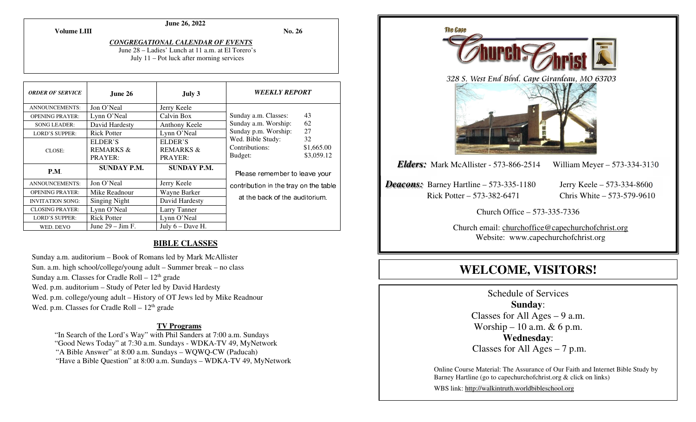**Volume LIII**

### **June 26, 2022**

**No. 26** 

#### *CONGREGATIONAL CALENDAR OF EVENTS* June 28 – Ladies' Lunch at 11 a.m. at El Torero's

July 11 – Pot luck after morning services

| <b>ORDER OF SERVICE</b> | June 26                                    | July 3                                     | <b>WEEKLY REPORT</b>                                                                                                                                                       |  |
|-------------------------|--------------------------------------------|--------------------------------------------|----------------------------------------------------------------------------------------------------------------------------------------------------------------------------|--|
| <b>ANNOUNCEMENTS:</b>   | Jon O'Neal                                 | Jerry Keele                                |                                                                                                                                                                            |  |
| <b>OPENING PRAYER:</b>  | Lynn O'Neal                                | Calvin Box                                 | 43<br>Sunday a.m. Classes:<br>62<br>Sunday a.m. Worship:<br>27<br>Sunday p.m. Worship:<br>Wed. Bible Study:<br>32<br>Contributions:<br>\$1,665.00<br>\$3,059.12<br>Budget: |  |
| <b>SONG LEADER:</b>     | David Hardesty                             | Anthony Keele                              |                                                                                                                                                                            |  |
| <b>LORD'S SUPPER:</b>   | <b>Rick Potter</b>                         | Lynn O'Neal                                |                                                                                                                                                                            |  |
| CLOSE:                  | ELDER'S<br><b>REMARKS &amp;</b><br>PRAYER: | ELDER'S<br><b>REMARKS &amp;</b><br>PRAYER: |                                                                                                                                                                            |  |
| P.M.                    | <b>SUNDAY P.M.</b>                         | <b>SUNDAY P.M.</b>                         | Please remember to leave your<br>contribution in the tray on the table<br>at the back of the auditorium.                                                                   |  |
| ANNOUNCEMENTS:          | Jon O'Neal                                 | Jerry Keele                                |                                                                                                                                                                            |  |
| <b>OPENING PRAYER:</b>  | Mike Readnour                              | Wayne Barker                               |                                                                                                                                                                            |  |
| <b>INVITATION SONG:</b> | <b>Singing Night</b>                       | David Hardesty                             |                                                                                                                                                                            |  |
| <b>CLOSING PRAYER:</b>  | Lynn O'Neal                                | Larry Tanner                               |                                                                                                                                                                            |  |
| <b>LORD'S SUPPER:</b>   | <b>Rick Potter</b>                         | Lynn O'Neal                                |                                                                                                                                                                            |  |
| WED. DEVO               | June $29 - \text{Jim F}$ .                 | July $6$ – Dave H.                         |                                                                                                                                                                            |  |

# **BIBLE CLASSES**

Sunday a.m. auditorium – Book of Romans led by Mark McAllister Sun. a.m. high school/college/young adult – Summer break – no class Sunday a.m. Classes for Cradle Roll –  $12<sup>th</sup>$  grade Wed. p.m. auditorium – Study of Peter led by David Hardesty Wed. p.m. college/young adult – History of OT Jews led by Mike Readnour Wed. p.m. Classes for Cradle Roll –  $12<sup>th</sup>$  grade

# **TV Programs**

 "In Search of the Lord's Way" with Phil Sanders at 7:00 a.m. Sundays "Good News Today" at 7:30 a.m. Sundays - WDKA-TV 49, MyNetwork "A Bible Answer" at 8:00 a.m. Sundays – WQWQ-CW (Paducah) "Have a Bible Question" at 8:00 a.m. Sundays – WDKA-TV 49, MyNetwork



# **WELCOME, VISITORS!**

Schedule of Services **Sunday**: Classes for All Ages  $-9$  a.m. Worship – 10 a.m.  $& 6$  p.m. **Wednesday**: Classes for All Ages – 7 p.m.

Online Course Material: The Assurance of Our Faith and Internet Bible Study by Barney Hartline (go to capechurchofchrist.org & click on links)

WBS link: http://walkintruth.worldbibleschool.org